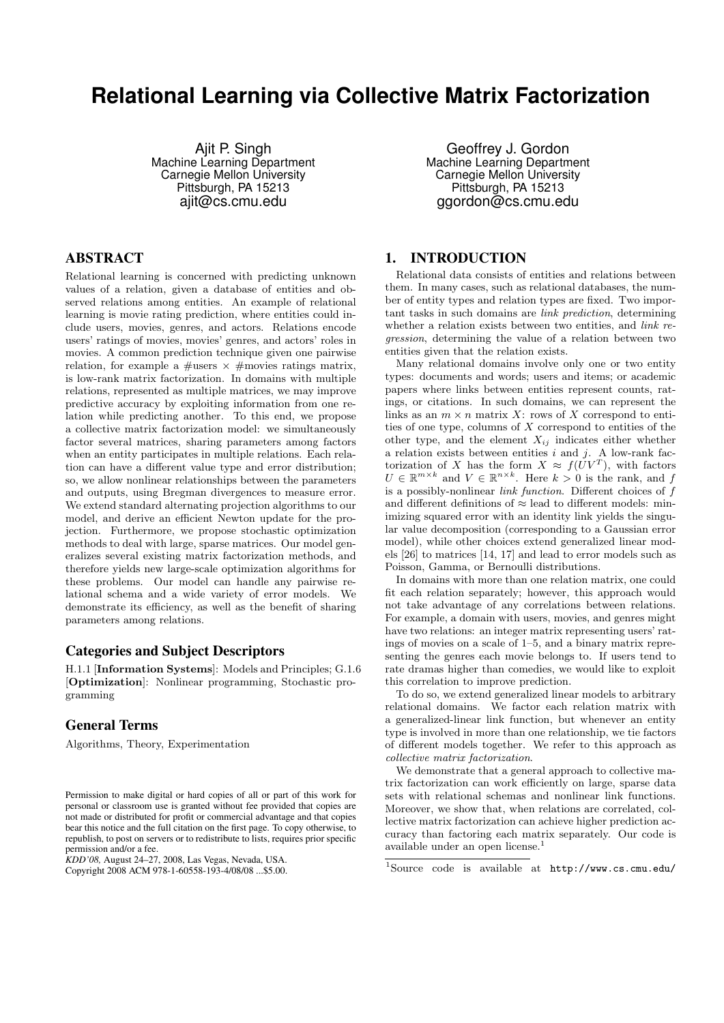# **Relational Learning via Collective Matrix Factorization**

Ajit P. Singh Machine Learning Department Carnegie Mellon University Pittsburgh, PA 15213 ajit@cs.cmu.edu

# ABSTRACT

Relational learning is concerned with predicting unknown values of a relation, given a database of entities and observed relations among entities. An example of relational learning is movie rating prediction, where entities could include users, movies, genres, and actors. Relations encode users' ratings of movies, movies' genres, and actors' roles in movies. A common prediction technique given one pairwise relation, for example a  $\#$ users  $\times \#$ movies ratings matrix, is low-rank matrix factorization. In domains with multiple relations, represented as multiple matrices, we may improve predictive accuracy by exploiting information from one relation while predicting another. To this end, we propose a collective matrix factorization model: we simultaneously factor several matrices, sharing parameters among factors when an entity participates in multiple relations. Each relation can have a different value type and error distribution; so, we allow nonlinear relationships between the parameters and outputs, using Bregman divergences to measure error. We extend standard alternating projection algorithms to our model, and derive an efficient Newton update for the projection. Furthermore, we propose stochastic optimization methods to deal with large, sparse matrices. Our model generalizes several existing matrix factorization methods, and therefore yields new large-scale optimization algorithms for these problems. Our model can handle any pairwise relational schema and a wide variety of error models. We demonstrate its efficiency, as well as the benefit of sharing parameters among relations.

### Categories and Subject Descriptors

H.1.1 [Information Systems]: Models and Principles; G.1.6 [Optimization]: Nonlinear programming, Stochastic programming

#### General Terms

Algorithms, Theory, Experimentation

*KDD'08,* August 24–27, 2008, Las Vegas, Nevada, USA.

Geoffrey J. Gordon Machine Learning Department Carnegie Mellon University Pittsburgh, PA 15213 ggordon@cs.cmu.edu

# 1. INTRODUCTION

Relational data consists of entities and relations between them. In many cases, such as relational databases, the number of entity types and relation types are fixed. Two important tasks in such domains are link prediction, determining whether a relation exists between two entities, and *link re*gression, determining the value of a relation between two entities given that the relation exists.

Many relational domains involve only one or two entity types: documents and words; users and items; or academic papers where links between entities represent counts, ratings, or citations. In such domains, we can represent the links as an  $m \times n$  matrix X: rows of X correspond to entities of one type, columns of  $X$  correspond to entities of the other type, and the element  $X_{ij}$  indicates either whether a relation exists between entities  $i$  and  $j$ . A low-rank factorization of X has the form  $X \approx f(UV^T)$ , with factors  $U \in \mathbb{R}^{m \times k}$  and  $V \in \mathbb{R}^{n \times k}$ . Here  $k > 0$  is the rank, and f is a possibly-nonlinear link function. Different choices of f and different definitions of  $\approx$  lead to different models: minimizing squared error with an identity link yields the singular value decomposition (corresponding to a Gaussian error model), while other choices extend generalized linear models [26] to matrices [14, 17] and lead to error models such as Poisson, Gamma, or Bernoulli distributions.

In domains with more than one relation matrix, one could fit each relation separately; however, this approach would not take advantage of any correlations between relations. For example, a domain with users, movies, and genres might have two relations: an integer matrix representing users' ratings of movies on a scale of 1–5, and a binary matrix representing the genres each movie belongs to. If users tend to rate dramas higher than comedies, we would like to exploit this correlation to improve prediction.

To do so, we extend generalized linear models to arbitrary relational domains. We factor each relation matrix with a generalized-linear link function, but whenever an entity type is involved in more than one relationship, we tie factors of different models together. We refer to this approach as collective matrix factorization.

We demonstrate that a general approach to collective matrix factorization can work efficiently on large, sparse data sets with relational schemas and nonlinear link functions. Moreover, we show that, when relations are correlated, collective matrix factorization can achieve higher prediction accuracy than factoring each matrix separately. Our code is available under an open license.<sup>1</sup>

Permission to make digital or hard copies of all or part of this work for personal or classroom use is granted without fee provided that copies are not made or distributed for profit or commercial advantage and that copies bear this notice and the full citation on the first page. To copy otherwise, to republish, to post on servers or to redistribute to lists, requires prior specific permission and/or a fee.

Copyright 2008 ACM 978-1-60558-193-4/08/08 ...\$5.00.

<sup>1</sup>Source code is available at http://www.cs.cmu.edu/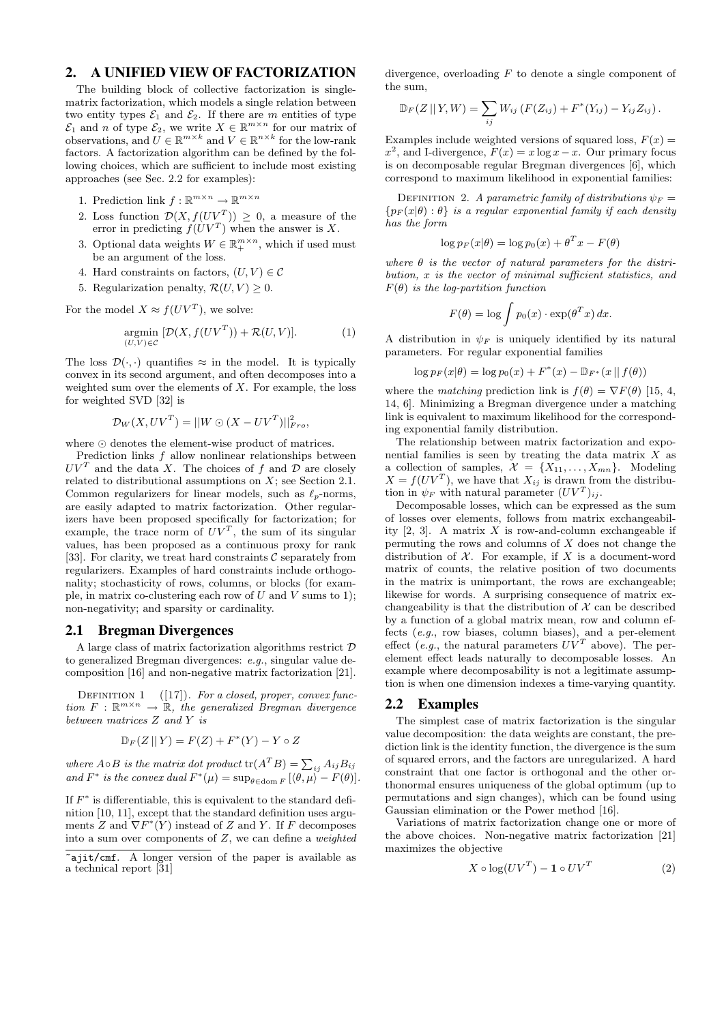# 2. A UNIFIED VIEW OF FACTORIZATION

The building block of collective factorization is singlematrix factorization, which models a single relation between two entity types  $\mathcal{E}_1$  and  $\mathcal{E}_2$ . If there are m entities of type  $\mathcal{E}_1$  and n of type  $\mathcal{E}_2$ , we write  $X \in \mathbb{R}^{m \times n}$  for our matrix of observations, and  $U \in \mathbb{R}^{m \times k}$  and  $V \in \mathbb{R}^{n \times k}$  for the low-rank factors. A factorization algorithm can be defined by the following choices, which are sufficient to include most existing approaches (see Sec. 2.2 for examples):

- 1. Prediction link  $f: \mathbb{R}^{m \times n} \to \mathbb{R}^{m \times n}$
- 2. Loss function  $\mathcal{D}(X, f(UV^T)) \geq 0$ , a measure of the error in predicting  $f(UV^T)$  when the answer is X.
- 3. Optional data weights  $W \in \mathbb{R}_+^{m \times n}$ , which if used must be an argument of the loss.
- 4. Hard constraints on factors,  $(U, V) \in \mathcal{C}$
- 5. Regularization penalty,  $\mathcal{R}(U, V) \geq 0$ .

For the model  $X \approx f(UV^T)$ , we solve:

$$
\underset{(U,V)\in\mathcal{C}}{\text{argmin}} \ [\mathcal{D}(X, f(UV^T)) + \mathcal{R}(U,V)]. \tag{1}
$$

The loss  $\mathcal{D}(\cdot, \cdot)$  quantifies  $\approx$  in the model. It is typically convex in its second argument, and often decomposes into a weighted sum over the elements of  $X$ . For example, the loss for weighted SVD [32] is

$$
\mathcal{D}_W(X, UV^T) = ||W \odot (X - UV^T)||_{Fro}^2,
$$

where  $\odot$  denotes the element-wise product of matrices.

Prediction links f allow nonlinear relationships between  $UV<sup>T</sup>$  and the data X. The choices of f and  $\mathcal{D}$  are closely related to distributional assumptions on  $X$ ; see Section 2.1. Common regularizers for linear models, such as  $\ell_p$ -norms, are easily adapted to matrix factorization. Other regularizers have been proposed specifically for factorization; for example, the trace norm of  $UV^T$ , the sum of its singular values, has been proposed as a continuous proxy for rank [33]. For clarity, we treat hard constraints  $\mathcal C$  separately from regularizers. Examples of hard constraints include orthogonality; stochasticity of rows, columns, or blocks (for example, in matrix co-clustering each row of  $U$  and  $V$  sums to 1); non-negativity; and sparsity or cardinality.

#### 2.1 Bregman Divergences

A large class of matrix factorization algorithms restrict D to generalized Bregman divergences: e.g., singular value decomposition [16] and non-negative matrix factorization [21].

DEFINITION 1  $([17])$ . For a closed, proper, convex function  $F : \mathbb{R}^{m \times n} \to \mathbb{R}$ , the generalized Bregman divergence between matrices Z and Y is

$$
\mathbb{D}_F(Z \mid\mid Y) = F(Z) + F^*(Y) - Y \circ Z
$$

where  $A \circ B$  is the matrix dot product  $tr(A^T B) = \sum_{ij} A_{ij} B_{ij}$ and  $F^*$  is the convex dual  $F^*(\mu) = \sup_{\theta \in \text{dom } F} [\langle \theta, \mu \rangle - F(\theta)].$ 

If  $F^*$  is differentiable, this is equivalent to the standard definition [10, 11], except that the standard definition uses arguments Z and  $\nabla F^*(Y)$  instead of Z and Y. If F decomposes into a sum over components of  $Z$ , we can define a *weighted* 

divergence, overloading  $F$  to denote a single component of the sum,

$$
\mathbb{D}_F(Z \,||\, Y, W) = \sum_{ij} W_{ij} \left( F(Z_{ij}) + F^*(Y_{ij}) - Y_{ij} Z_{ij} \right).
$$

Examples include weighted versions of squared loss,  $F(x) =$  $x^2$ , and I-divergence,  $F(x) = x \log x - x$ . Our primary focus is on decomposable regular Bregman divergences [6], which correspond to maximum likelihood in exponential families:

DEFINITION 2. A parametric family of distributions  $\psi_F =$  ${p_F(x|\theta): \theta}$  is a regular exponential family if each density has the form

$$
\log p_F(x|\theta) = \log p_0(x) + \theta^T x - F(\theta)
$$

where  $\theta$  is the vector of natural parameters for the distribution, x is the vector of minimal sufficient statistics, and  $F(\theta)$  is the log-partition function

$$
F(\theta) = \log \int p_0(x) \cdot \exp(\theta^T x) dx.
$$

A distribution in  $\psi_F$  is uniquely identified by its natural parameters. For regular exponential families

$$
\log p_F(x|\theta) = \log p_0(x) + F^*(x) - \mathbb{D}_{F^*}(x || f(\theta))
$$

where the *matching* prediction link is  $f(\theta) = \nabla F(\theta)$  [15, 4, 14, 6]. Minimizing a Bregman divergence under a matching link is equivalent to maximum likelihood for the corresponding exponential family distribution.

The relationship between matrix factorization and exponential families is seen by treating the data matrix  $X$  as a collection of samples,  $\mathcal{X} = \{X_{11}, \ldots, X_{mn}\}.$  Modeling  $X = f(UV^T)$ , we have that  $X_{ij}$  is drawn from the distribution in  $\psi_F$  with natural parameter  $(UV^T)_{ij}$ .

Decomposable losses, which can be expressed as the sum of losses over elements, follows from matrix exchangeability  $[2, 3]$ . A matrix X is row-and-column exchangeable if permuting the rows and columns of  $X$  does not change the distribution of  $X$ . For example, if X is a document-word matrix of counts, the relative position of two documents in the matrix is unimportant, the rows are exchangeable; likewise for words. A surprising consequence of matrix exchangeability is that the distribution of  $X$  can be described by a function of a global matrix mean, row and column effects (e.g., row biases, column biases), and a per-element effect (e.g., the natural parameters  $UV^T$  above). The perelement effect leads naturally to decomposable losses. An example where decomposability is not a legitimate assumption is when one dimension indexes a time-varying quantity.

#### 2.2 Examples

The simplest case of matrix factorization is the singular value decomposition: the data weights are constant, the prediction link is the identity function, the divergence is the sum of squared errors, and the factors are unregularized. A hard constraint that one factor is orthogonal and the other orthonormal ensures uniqueness of the global optimum (up to permutations and sign changes), which can be found using Gaussian elimination or the Power method [16].

Variations of matrix factorization change one or more of the above choices. Non-negative matrix factorization [21] maximizes the objective

$$
X \circ \log(UV^T) - \mathbf{1} \circ UV^T \tag{2}
$$

 $\overline{z_{\text{ajit}/\text{cmf.}}}$  A longer version of the paper is available as a technical report [31]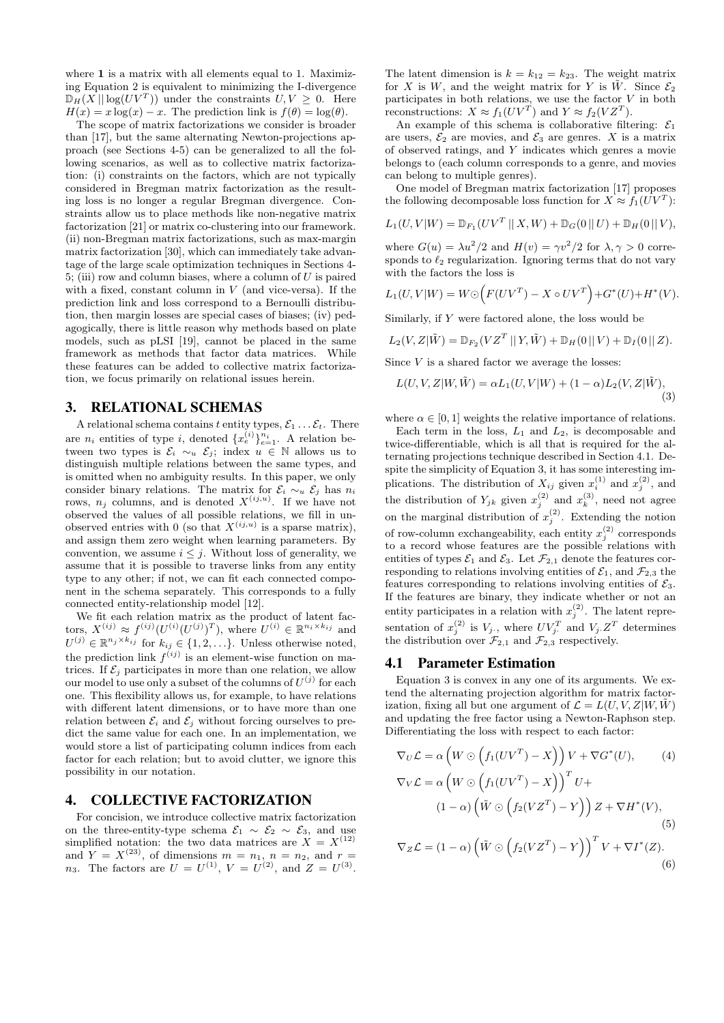where 1 is a matrix with all elements equal to 1. Maximizing Equation 2 is equivalent to minimizing the I-divergence  $\mathbb{D}_H(X \mid \log(UV^T))$  under the constraints  $U, V \geq 0$ . Here  $H(x) = x \log(x) - x$ . The prediction link is  $f(\theta) = \log(\theta)$ .

The scope of matrix factorizations we consider is broader than [17], but the same alternating Newton-projections approach (see Sections 4-5) can be generalized to all the following scenarios, as well as to collective matrix factorization: (i) constraints on the factors, which are not typically considered in Bregman matrix factorization as the resulting loss is no longer a regular Bregman divergence. Constraints allow us to place methods like non-negative matrix factorization [21] or matrix co-clustering into our framework. (ii) non-Bregman matrix factorizations, such as max-margin matrix factorization [30], which can immediately take advantage of the large scale optimization techniques in Sections 4- 5; (iii) row and column biases, where a column of  $U$  is paired with a fixed, constant column in  $V$  (and vice-versa). If the prediction link and loss correspond to a Bernoulli distribution, then margin losses are special cases of biases; (iv) pedagogically, there is little reason why methods based on plate models, such as pLSI [19], cannot be placed in the same framework as methods that factor data matrices. While these features can be added to collective matrix factorization, we focus primarily on relational issues herein.

#### 3. RELATIONAL SCHEMAS

A relational schema contains t entity types,  $\mathcal{E}_1 \dots \mathcal{E}_t$ . There are  $n_i$  entities of type i, denoted  $\{x_e^{(i)}\}_{e=1}^{n_i}$ . A relation between two types is  $\mathcal{E}_i \sim_u \mathcal{E}_j$ ; index  $u \in \mathbb{N}$  allows us to distinguish multiple relations between the same types, and is omitted when no ambiguity results. In this paper, we only consider binary relations. The matrix for  $\mathcal{E}_i \sim_u \mathcal{E}_j$  has  $n_i$ rows,  $n_j$  columns, and is denoted  $X^{(ij,u)}$ . If we have not observed the values of all possible relations, we fill in unobserved entries with 0 (so that  $X^{(ij,u)}$  is a sparse matrix), and assign them zero weight when learning parameters. By convention, we assume  $i \leq j$ . Without loss of generality, we assume that it is possible to traverse links from any entity type to any other; if not, we can fit each connected component in the schema separately. This corresponds to a fully connected entity-relationship model [12].

We fit each relation matrix as the product of latent factors,  $X^{(ij)} \approx f^{(ij)} (U^{(i)} (U^{(j)})^T)$ , where  $U^{(i)} \in \mathbb{R}^{n_i \times k_{ij}}$  and  $U^{(j)} \in \mathbb{R}^{n_j \times k_{ij}}$  for  $k_{ij} \in \{1, 2, \ldots\}$ . Unless otherwise noted, the prediction link  $f^{(ij)}$  is an element-wise function on matrices. If  $\mathcal{E}_j$  participates in more than one relation, we allow our model to use only a subset of the columns of  $U^{(j)}$  for each one. This flexibility allows us, for example, to have relations with different latent dimensions, or to have more than one relation between  $\mathcal{E}_i$  and  $\mathcal{E}_j$  without forcing ourselves to predict the same value for each one. In an implementation, we would store a list of participating column indices from each factor for each relation; but to avoid clutter, we ignore this possibility in our notation.

### 4. COLLECTIVE FACTORIZATION

For concision, we introduce collective matrix factorization on the three-entity-type schema  $\mathcal{E}_1 \sim \mathcal{E}_2 \sim \mathcal{E}_3$ , and use simplified notation: the two data matrices are  $X = X^{(12)}$ and  $Y = X^{(23)}$ , of dimensions  $m = n_1$ ,  $n = n_2$ , and  $r =$ *n*<sub>3</sub>. The factors are  $U = U^{(1)}$ ,  $V = U^{(2)}$ , and  $Z = U^{(3)}$ .

The latent dimension is  $k = k_{12} = k_{23}$ . The weight matrix for X is W, and the weight matrix for Y is  $\tilde{W}$ . Since  $\mathcal{E}_2$ participates in both relations, we use the factor  $V$  in both reconstructions:  $X \approx f_1(UV^T)$  and  $Y \approx f_2(VZ^T)$ .

An example of this schema is collaborative filtering:  $\mathcal{E}_1$ are users,  $\mathcal{E}_2$  are movies, and  $\mathcal{E}_3$  are genres. X is a matrix of observed ratings, and Y indicates which genres a movie belongs to (each column corresponds to a genre, and movies can belong to multiple genres).

One model of Bregman matrix factorization [17] proposes the following decomposable loss function for  $X \approx f_1(UV^T)$ :

$$
L_1(U, V | W) = \mathbb{D}_{F_1}(UV^T | X, W) + \mathbb{D}_G(0 | U) + \mathbb{D}_H(0 | V),
$$

where  $G(u) = \lambda u^2/2$  and  $H(v) = \gamma v^2/2$  for  $\lambda, \gamma > 0$  corresponds to  $\ell_2$  regularization. Ignoring terms that do not vary with the factors the loss is

$$
L_1(U, V|W) = W \odot (F(UV^{T}) - X \circ UV^{T}) + G^{*}(U) + H^{*}(V).
$$

Similarly, if Y were factored alone, the loss would be

$$
L_2(V, Z | \tilde{W}) = \mathbb{D}_{F_2}(VZ^T || Y, \tilde{W}) + \mathbb{D}_H(0 || V) + \mathbb{D}_I(0 || Z).
$$

Since  $V$  is a shared factor we average the losses:

$$
L(U, V, Z | W, \tilde{W}) = \alpha L_1(U, V | W) + (1 - \alpha) L_2(V, Z | \tilde{W}),
$$
\n(3)

where  $\alpha \in [0, 1]$  weights the relative importance of relations.

Each term in the loss,  $L_1$  and  $L_2$ , is decomposable and twice-differentiable, which is all that is required for the alternating projections technique described in Section 4.1. Despite the simplicity of Equation 3, it has some interesting implications. The distribution of  $X_{ij}$  given  $x_i^{(1)}$  and  $x_j^{(2)}$ , and the distribution of  $Y_{jk}$  given  $x_j^{(2)}$  and  $x_k^{(3)}$ , need not agree on the marginal distribution of  $x_j^{(2)}$ . Extending the notion of row-column exchangeability, each entity  $x_j^{(2)}$  corresponds to a record whose features are the possible relations with entities of types  $\mathcal{E}_1$  and  $\mathcal{E}_3$ . Let  $\mathcal{F}_{2,1}$  denote the features corresponding to relations involving entities of  $\mathcal{E}_1$ , and  $\mathcal{F}_{2,3}$  the features corresponding to relations involving entities of  $\mathcal{E}_3$ . If the features are binary, they indicate whether or not an entity participates in a relation with  $x_j^{(2)}$ . The latent representation of  $x_j^{(2)}$  is  $V_j$ ., where  $UV_j^T$  and  $V_j$ .  $Z^T$  determines the distribution over  $\mathcal{F}_{2,1}$  and  $\mathcal{F}_{2,3}$  respectively.

#### 4.1 Parameter Estimation

Equation 3 is convex in any one of its arguments. We extend the alternating projection algorithm for matrix factorization, fixing all but one argument of  $\mathcal{L} = L(U, V, Z | W, W)$ and updating the free factor using a Newton-Raphson step. Differentiating the loss with respect to each factor:

$$
\nabla_U \mathcal{L} = \alpha \left( W \odot \left( f_1(UV^T) - X \right) \right) V + \nabla G^*(U), \qquad (4)
$$
  

$$
\nabla_V \mathcal{L} = \alpha \left( W \odot \left( f_1(UV^T) - X \right) \right)^T U +
$$
  

$$
(1 - \alpha) \left( \tilde{W} \odot \left( f_2(VZ^T) - Y \right) \right) Z + \nabla H^*(V),
$$
  

$$
(5)
$$
  

$$
\nabla_Z \mathcal{L} = (1 - \alpha) \left( \tilde{W} \odot \left( f_2(VZ^T) - Y \right) \right)^T V + \nabla I^*(Z).
$$
  

$$
(6)
$$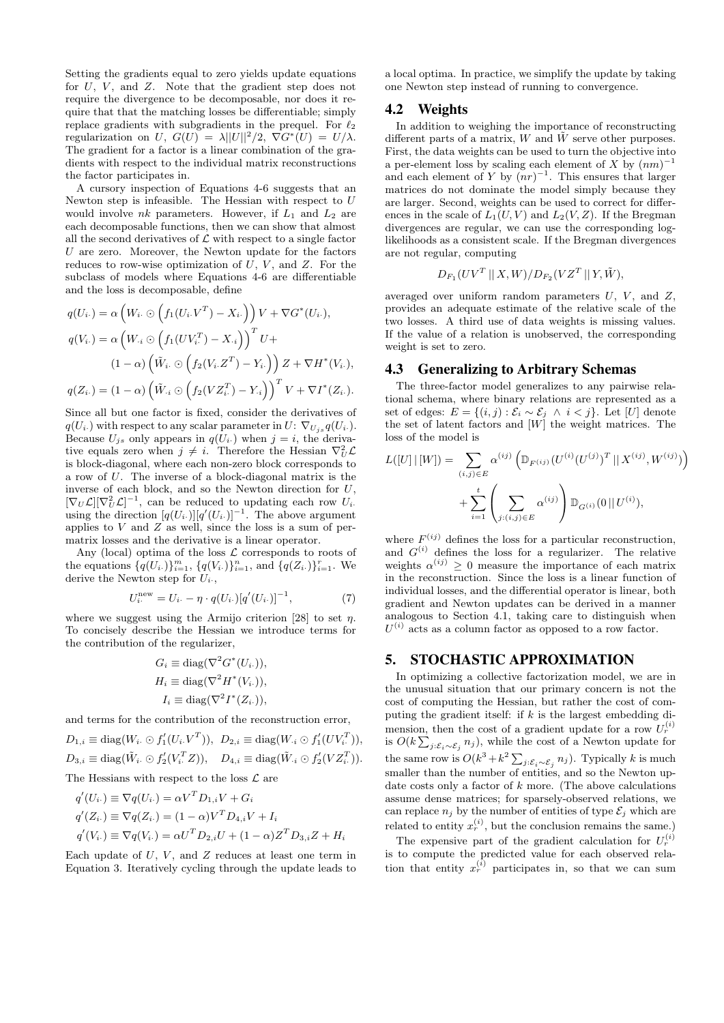Setting the gradients equal to zero yields update equations for  $U, V$ , and  $Z$ . Note that the gradient step does not require the divergence to be decomposable, nor does it require that that the matching losses be differentiable; simply replace gradients with subgradients in the prequel. For  $\ell_2$ regularization on  $U, G(U) = \lambda ||U||^2/2, \nabla G^*(U) = U/\lambda.$ The gradient for a factor is a linear combination of the gradients with respect to the individual matrix reconstructions the factor participates in.

A cursory inspection of Equations 4-6 suggests that an Newton step is infeasible. The Hessian with respect to U would involve  $nk$  parameters. However, if  $L_1$  and  $L_2$  are each decomposable functions, then we can show that almost all the second derivatives of  $\mathcal L$  with respect to a single factor U are zero. Moreover, the Newton update for the factors reduces to row-wise optimization of  $\overline{U}$ ,  $V$ , and  $\overline{Z}$ . For the subclass of models where Equations 4-6 are differentiable and the loss is decomposable, define

$$
q(U_i.) = \alpha \left( W_i. \odot \left( f_1(U_i. V^T) - X_i. \right) \right) V + \nabla G^*(U_i.),
$$
  
\n
$$
q(V_i.) = \alpha \left( W_{\cdot i} \odot \left( f_1(UV_i^T) - X_{\cdot i} \right) \right)^T U +
$$
  
\n
$$
(1 - \alpha) \left( \tilde{W}_i. \odot \left( f_2(V_i. Z^T) - Y_{i.} \right) \right) Z + \nabla H^*(V_i.),
$$
  
\n
$$
q(Z_i.) = (1 - \alpha) \left( \tilde{W}_i \odot \left( f_2(VZ_i^T) - Y_{\cdot i} \right) \right)^T V + \nabla I^*(Z_i.).
$$

Since all but one factor is fixed, consider the derivatives of  $q(U_i)$  with respect to any scalar parameter in  $U: \nabla_{U_i} q(U_i)$ . Because  $U_{j,s}$  only appears in  $q(U_i)$  when  $j = i$ , the derivative equals zero when  $j \neq i$ . Therefore the Hessian  $\nabla_U^2 \mathcal{L}$ is block-diagonal, where each non-zero block corresponds to a row of U. The inverse of a block-diagonal matrix is the inverse of each block, and so the Newton direction for  $U$ ,  $[\nabla_U \mathcal{L}] [\nabla_U^2 \mathcal{L}]^{-1}$ , can be reduced to updating each row  $U_i$ . using the direction  $[q(U_i)] [q'(U_i)]^{-1}$ . The above argument applies to  $V$  and  $Z$  as well, since the loss is a sum of permatrix losses and the derivative is a linear operator.

Any (local) optima of the loss  $\mathcal L$  corresponds to roots of the equations  $\{q(U_i)\}_{i=1}^m$ ,  $\{q(V_i)\}_{i=1}^n$ , and  $\{q(Z_i)\}_{i=1}^r$ . We derive the Newton step for  $U_i$ .

$$
U_i^{\text{new}} = U_i - \eta \cdot q(U_i) [q'(U_i)]^{-1}, \tag{7}
$$

where we suggest using the Armijo criterion [28] to set  $\eta$ . To concisely describe the Hessian we introduce terms for the contribution of the regularizer,

$$
G_i \equiv \text{diag}(\nabla^2 G^*(U_i.)),
$$
  
\n
$$
H_i \equiv \text{diag}(\nabla^2 H^*(V_i.)),
$$
  
\n
$$
I_i \equiv \text{diag}(\nabla^2 I^*(Z_i.)),
$$

and terms for the contribution of the reconstruction error,

$$
D_{1,i} \equiv \text{diag}(W_i \odot f_1'(U_i \cdot V^T)), \ D_{2,i} \equiv \text{diag}(W_{\cdot i} \odot f_1'(UV_i^T)),
$$
  

$$
D_{3,i} \equiv \text{diag}(\tilde{W}_{i} \odot f_2'(V_i^T Z)), \quad D_{4,i} \equiv \text{diag}(\tilde{W}_{\cdot i} \odot f_2'(V Z_i^T)).
$$

The Hessians with respect to the loss  $\mathcal L$  are

$$
q'(U_i) \equiv \nabla q(U_i) = \alpha V^T D_{1,i} V + G_i
$$
  
\n
$$
q'(Z_i) \equiv \nabla q(Z_i) = (1 - \alpha) V^T D_{4,i} V + I_i
$$
  
\n
$$
q'(V_i) \equiv \nabla q(V_i) = \alpha U^T D_{2,i} U + (1 - \alpha) Z^T D_{3,i} Z + H_i
$$

Each update of  $U, V,$  and  $Z$  reduces at least one term in Equation 3. Iteratively cycling through the update leads to

a local optima. In practice, we simplify the update by taking one Newton step instead of running to convergence.

#### 4.2 Weights

In addition to weighing the importance of reconstructing different parts of a matrix, W and  $\tilde{W}$  serve other purposes. First, the data weights can be used to turn the objective into a per-element loss by scaling each element of X by  $(nm)^{-1}$ and each element of Y by  $(nr)^{-1}$ . This ensures that larger matrices do not dominate the model simply because they are larger. Second, weights can be used to correct for differences in the scale of  $L_1(U, V)$  and  $L_2(V, Z)$ . If the Bregman divergences are regular, we can use the corresponding loglikelihoods as a consistent scale. If the Bregman divergences are not regular, computing

$$
D_{F_1}(UV^T || X, W) / D_{F_2}(VZ^T || Y, \tilde{W}),
$$

averaged over uniform random parameters  $U$ ,  $V$ , and  $Z$ , provides an adequate estimate of the relative scale of the two losses. A third use of data weights is missing values. If the value of a relation is unobserved, the corresponding weight is set to zero.

#### 4.3 Generalizing to Arbitrary Schemas

The three-factor model generalizes to any pairwise relational schema, where binary relations are represented as a set of edges:  $E = \{(i, j) : \mathcal{E}_i \sim \mathcal{E}_j \land i < j\}$ . Let [U] denote the set of latent factors and  $[W]$  the weight matrices. The loss of the model is

$$
L([U] \mid [W]) = \sum_{(i,j) \in E} \alpha^{(ij)} \left( \mathbb{D}_{F^{(ij)}} (U^{(i)} (U^{(j)})^T \mid X^{(ij)}, W^{(ij)}) \right) + \sum_{i=1}^t \left( \sum_{j:(i,j) \in E} \alpha^{(ij)} \right) \mathbb{D}_{G^{(i)}}(0 \mid U^{(i)}),
$$

where  $F^{(ij)}$  defines the loss for a particular reconstruction, and  $G^{(i)}$  defines the loss for a regularizer. The relative weights  $\alpha^{(ij)} \geq 0$  measure the importance of each matrix in the reconstruction. Since the loss is a linear function of individual losses, and the differential operator is linear, both gradient and Newton updates can be derived in a manner analogous to Section 4.1, taking care to distinguish when  $U^{(i)}$  acts as a column factor as opposed to a row factor.

# 5. STOCHASTIC APPROXIMATION

In optimizing a collective factorization model, we are in the unusual situation that our primary concern is not the cost of computing the Hessian, but rather the cost of computing the gradient itself: if  $k$  is the largest embedding dimension, then the cost of a gradient update for a row  $U_r^{(i)}$ is  $O(k\sum_{j:\mathcal{E}_i\sim\mathcal{E}_j} n_j)$ , while the cost of a Newton update for the same row is  $O(k^3 + k^2 \sum_{j:\mathcal{E}_i \sim \mathcal{E}_j} n_j)$ . Typically k is much smaller than the number of entities, and so the Newton update costs only a factor of  $k$  more. (The above calculations assume dense matrices; for sparsely-observed relations, we can replace  $n_j$  by the number of entities of type  $\mathcal{E}_j$  which are related to entity  $x_r^{(i)}$ , but the conclusion remains the same.)

The expensive part of the gradient calculation for  $U_r^{(i)}$ is to compute the predicted value for each observed relation that entity  $x_r^{(i)}$  participates in, so that we can sum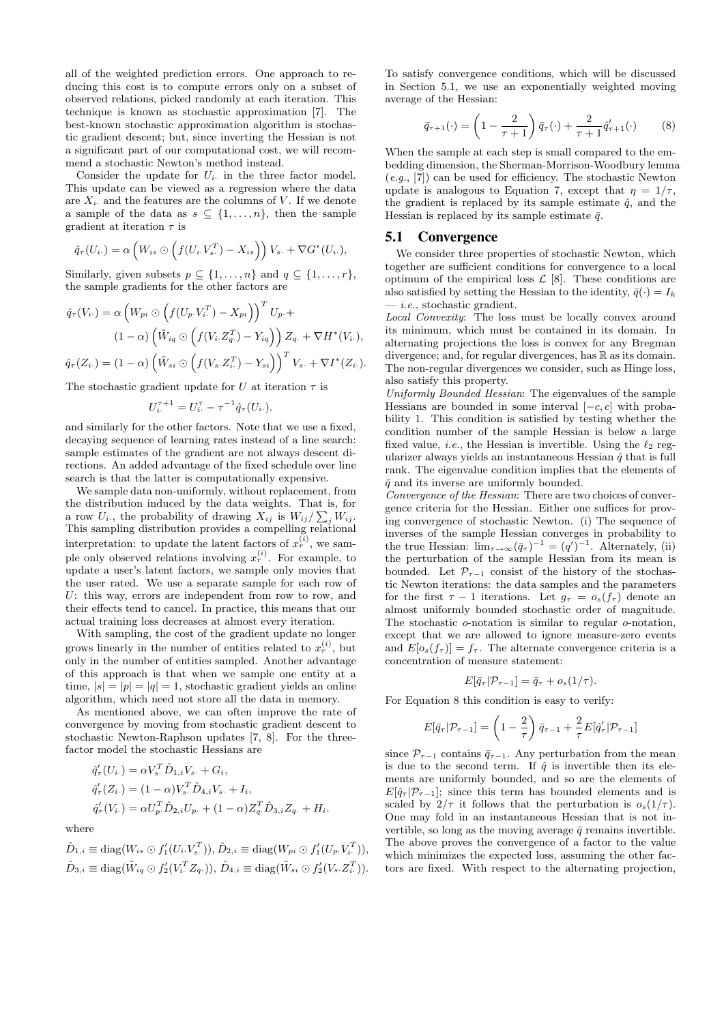all of the weighted prediction errors. One approach to reducing this cost is to compute errors only on a subset of observed relations, picked randomly at each iteration. This technique is known as stochastic approximation [7]. The best-known stochastic approximation algorithm is stochastic gradient descent; but, since inverting the Hessian is not a significant part of our computational cost, we will recommend a stochastic Newton's method instead.

Consider the update for  $U_i$  in the three factor model. This update can be viewed as a regression where the data are  $X_i$  and the features are the columns of V. If we denote a sample of the data as  $s \subseteq \{1, \ldots, n\}$ , then the sample gradient at iteration  $\tau$  is

$$
\hat{q}_{\tau}(U_{i\cdot}) = \alpha \left( W_{is} \odot \left( f(U_{i\cdot} V_{s\cdot}^T) - X_{is} \right) \right) V_{s\cdot} + \nabla G^*(U_{i\cdot}),
$$

Similarly, given subsets  $p \subseteq \{1, \ldots, n\}$  and  $q \subseteq \{1, \ldots, r\}$ , the sample gradients for the other factors are

$$
\hat{q}_{\tau}(V_{i\cdot}) = \alpha \left( W_{pi} \odot \left( f(U_{p\cdot} V_{i\cdot}^T) - X_{pi} \right) \right)^T U_{p\cdot} +
$$
\n
$$
(1 - \alpha) \left( \tilde{W}_{iq} \odot \left( f(V_{i\cdot} Z_{q\cdot}^T) - Y_{iq} \right) \right) Z_{q\cdot} + \nabla H^*(V_{i\cdot}),
$$
\n
$$
\hat{q}_{\tau}(Z_{i\cdot}) = (1 - \alpha) \left( \tilde{W}_{si} \odot \left( f(V_{s\cdot} Z_{i\cdot}^T) - Y_{si} \right) \right)^T V_{s\cdot} + \nabla I^*(Z_{i\cdot}).
$$

The stochastic gradient update for U at iteration  $\tau$  is

$$
U_i^{\tau+1} = U_i^{\tau} - \tau^{-1} \hat{q}_{\tau}(U_{i}).
$$

and similarly for the other factors. Note that we use a fixed, decaying sequence of learning rates instead of a line search: sample estimates of the gradient are not always descent directions. An added advantage of the fixed schedule over line search is that the latter is computationally expensive.

We sample data non-uniformly, without replacement, from the distribution induced by the data weights. That is, for a row  $U_i$ , the probability of drawing  $X_{ij}$  is  $W_{ij}/\sum_j W_{ij}$ . This sampling distribution provides a compelling relational interpretation: to update the latent factors of  $x_r^{(i)}$ , we sample only observed relations involving  $x_r^{(i)}$ . For example, to update a user's latent factors, we sample only movies that the user rated. We use a separate sample for each row of U: this way, errors are independent from row to row, and their effects tend to cancel. In practice, this means that our actual training loss decreases at almost every iteration.

With sampling, the cost of the gradient update no longer grows linearly in the number of entities related to  $x_r^{(i)}$ , but only in the number of entities sampled. Another advantage of this approach is that when we sample one entity at a time,  $|s| = |p| = |q| = 1$ , stochastic gradient yields an online algorithm, which need not store all the data in memory.

As mentioned above, we can often improve the rate of convergence by moving from stochastic gradient descent to stochastic Newton-Raphson updates [7, 8]. For the threefactor model the stochastic Hessians are

$$
\begin{aligned}\n\hat{q}'_{\tau}(U_{i\cdot}) &= \alpha V_{s\cdot}^T \hat{D}_{1,i} V_{s\cdot} + G_i, \\
\hat{q}'_{\tau}(Z_{i\cdot}) &= (1 - \alpha) V_{s\cdot}^T \hat{D}_{4,i} V_{s\cdot} + I_i, \\
\hat{q}'_{\tau}(V_{i\cdot}) &= \alpha U_{p\cdot}^T \hat{D}_{2,i} U_{p\cdot} + (1 - \alpha) Z_q^T \hat{D}_{3,i} Z_q \cdot + H_i.\n\end{aligned}
$$

where

$$
\hat{D}_{1,i} \equiv \text{diag}(W_{is} \odot f'_1(U_i.V_s^T)), \hat{D}_{2,i} \equiv \text{diag}(W_{pi} \odot f'_1(U_p.V_i^T)), \n\hat{D}_{3,i} \equiv \text{diag}(\tilde{W}_{iq} \odot f'_2(V_i^T Z_q.)), \hat{D}_{4,i} \equiv \text{diag}(\tilde{W}_{si} \odot f'_2(V_s.Z_i^T)).
$$

To satisfy convergence conditions, which will be discussed in Section 5.1, we use an exponentially weighted moving average of the Hessian:

$$
\bar{q}_{\tau+1}(\cdot) = \left(1 - \frac{2}{\tau+1}\right)\bar{q}_{\tau}(\cdot) + \frac{2}{\tau+1}\hat{q}'_{\tau+1}(\cdot) \tag{8}
$$

When the sample at each step is small compared to the embedding dimension, the Sherman-Morrison-Woodbury lemma  $(e.g., [7])$  can be used for efficiency. The stochastic Newton update is analogous to Equation 7, except that  $\eta = 1/\tau$ , the gradient is replaced by its sample estimate  $\hat{q}$ , and the Hessian is replaced by its sample estimate  $\bar{q}$ .

#### 5.1 Convergence

We consider three properties of stochastic Newton, which together are sufficient conditions for convergence to a local optimum of the empirical loss  $\mathcal{L}$  [8]. These conditions are also satisfied by setting the Hessian to the identity,  $\bar{q}(\cdot) = I_k$  $-$  *i.e.*, stochastic gradient.

Local Convexity: The loss must be locally convex around its minimum, which must be contained in its domain. In alternating projections the loss is convex for any Bregman divergence; and, for regular divergences, has  $\mathbb R$  as its domain. The non-regular divergences we consider, such as Hinge loss, also satisfy this property.

Uniformly Bounded Hessian: The eigenvalues of the sample Hessians are bounded in some interval  $[-c, c]$  with probability 1. This condition is satisfied by testing whether the condition number of the sample Hessian is below a large fixed value, *i.e.*, the Hessian is invertible. Using the  $\ell_2$  regularizer always yields an instantaneous Hessian  $\hat{q}$  that is full rank. The eigenvalue condition implies that the elements of  $\bar{q}$  and its inverse are uniformly bounded.

Convergence of the Hessian: There are two choices of convergence criteria for the Hessian. Either one suffices for proving convergence of stochastic Newton. (i) The sequence of inverses of the sample Hessian converges in probability to the true Hessian:  $\lim_{\tau \to \infty} (\bar{q}_{\tau})^{-1} = (q')^{-1}$ . Alternately, (ii) the perturbation of the sample Hessian from its mean is bounded. Let  $\mathcal{P}_{\tau-1}$  consist of the history of the stochastic Newton iterations: the data samples and the parameters for the first  $\tau - 1$  iterations. Let  $g_{\tau} = o_s(f_{\tau})$  denote an almost uniformly bounded stochastic order of magnitude. The stochastic o-notation is similar to regular o-notation, except that we are allowed to ignore measure-zero events and  $E[o_s(f_\tau)] = f_\tau$ . The alternate convergence criteria is a concentration of measure statement:

$$
E[\bar{q}_{\tau}|\mathcal{P}_{\tau-1}] = \bar{q}_{\tau} + o_s(1/\tau).
$$

For Equation 8 this condition is easy to verify:

$$
E[\bar{q}_{\tau}|\mathcal{P}_{\tau-1}] = \left(1 - \frac{2}{\tau}\right)\bar{q}_{\tau-1} + \frac{2}{\tau}E[\hat{q}_{\tau}'|\mathcal{P}_{\tau-1}]
$$

since  $\mathcal{P}_{\tau-1}$  contains  $\bar{q}_{\tau-1}$ . Any perturbation from the mean is due to the second term. If  $\hat{q}$  is invertible then its elements are uniformly bounded, and so are the elements of  $E[\hat{q}_{\tau} | \mathcal{P}_{\tau-1}]$ ; since this term has bounded elements and is scaled by  $2/\tau$  it follows that the perturbation is  $o_s(1/\tau)$ . One may fold in an instantaneous Hessian that is not invertible, so long as the moving average  $\bar{q}$  remains invertible. The above proves the convergence of a factor to the value which minimizes the expected loss, assuming the other factors are fixed. With respect to the alternating projection,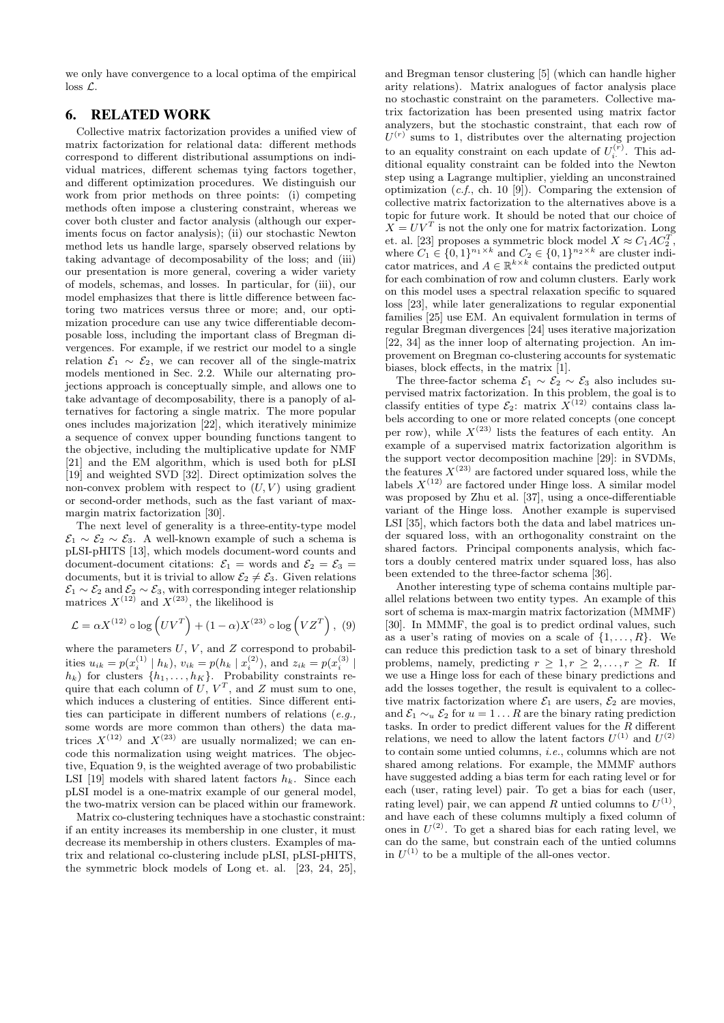we only have convergence to a local optima of the empirical loss L.

# 6. RELATED WORK

Collective matrix factorization provides a unified view of matrix factorization for relational data: different methods correspond to different distributional assumptions on individual matrices, different schemas tying factors together, and different optimization procedures. We distinguish our work from prior methods on three points: (i) competing methods often impose a clustering constraint, whereas we cover both cluster and factor analysis (although our experiments focus on factor analysis); (ii) our stochastic Newton method lets us handle large, sparsely observed relations by taking advantage of decomposability of the loss; and (iii) our presentation is more general, covering a wider variety of models, schemas, and losses. In particular, for (iii), our model emphasizes that there is little difference between factoring two matrices versus three or more; and, our optimization procedure can use any twice differentiable decomposable loss, including the important class of Bregman divergences. For example, if we restrict our model to a single relation  $\mathcal{E}_1 \sim \mathcal{E}_2$ , we can recover all of the single-matrix models mentioned in Sec. 2.2. While our alternating projections approach is conceptually simple, and allows one to take advantage of decomposability, there is a panoply of alternatives for factoring a single matrix. The more popular ones includes majorization [22], which iteratively minimize a sequence of convex upper bounding functions tangent to the objective, including the multiplicative update for NMF [21] and the EM algorithm, which is used both for pLSI [19] and weighted SVD [32]. Direct optimization solves the non-convex problem with respect to  $(U, V)$  using gradient or second-order methods, such as the fast variant of maxmargin matrix factorization [30].

The next level of generality is a three-entity-type model  $\mathcal{E}_1 \sim \mathcal{E}_2 \sim \mathcal{E}_3$ . A well-known example of such a schema is pLSI-pHITS [13], which models document-word counts and document-document citations:  $\mathcal{E}_1$  = words and  $\mathcal{E}_2 = \mathcal{E}_3$  = documents, but it is trivial to allow  $\mathcal{E}_2 \neq \mathcal{E}_3$ . Given relations  $\mathcal{E}_1 \sim \mathcal{E}_2$  and  $\mathcal{E}_2 \sim \mathcal{E}_3$ , with corresponding integer relationship matrices  $X^{(12)}$  and  $X^{(23)}$ , the likelihood is

$$
\mathcal{L} = \alpha X^{(12)} \circ \log \left( UV^T \right) + (1 - \alpha) X^{(23)} \circ \log \left( V Z^T \right), \tag{9}
$$

where the parameters  $U, V$ , and  $Z$  correspond to probabilities  $u_{ik} = p(x_i^{(1)} | h_k)$ ,  $v_{ik} = p(h_k | x_i^{(2)})$ , and  $z_{ik} = p(x_i^{(3)} |$  $h_k$ ) for clusters  $\{h_1, \ldots, h_K\}$ . Probability constraints require that each column of  $U, V^T$ , and  $Z$  must sum to one, which induces a clustering of entities. Since different entities can participate in different numbers of relations (e.g., some words are more common than others) the data matrices  $X^{(12)}$  and  $X^{(23)}$  are usually normalized; we can encode this normalization using weight matrices. The objective, Equation 9, is the weighted average of two probabilistic LSI [19] models with shared latent factors  $h_k$ . Since each pLSI model is a one-matrix example of our general model, the two-matrix version can be placed within our framework.

Matrix co-clustering techniques have a stochastic constraint: if an entity increases its membership in one cluster, it must decrease its membership in others clusters. Examples of matrix and relational co-clustering include pLSI, pLSI-pHITS, the symmetric block models of Long et. al. [23, 24, 25],

and Bregman tensor clustering [5] (which can handle higher arity relations). Matrix analogues of factor analysis place no stochastic constraint on the parameters. Collective matrix factorization has been presented using matrix factor analyzers, but the stochastic constraint, that each row of  $U^{(r)}$  sums to 1, distributes over the alternating projection to an equality constraint on each update of  $U_i^{(r)}$ . This additional equality constraint can be folded into the Newton step using a Lagrange multiplier, yielding an unconstrained optimization  $(c.f., ch. 10 [9])$ . Comparing the extension of collective matrix factorization to the alternatives above is a topic for future work. It should be noted that our choice of  $X = UV<sup>T</sup>$  is not the only one for matrix factorization. Long et. al. [23] proposes a symmetric block model  $X \approx C_1 A C_2^T$ , where  $C_1 \in \{0,1\}^{n_1 \times k}$  and  $C_2 \in \{0,1\}^{n_2 \times k}$  are cluster indicator matrices, and  $A \in \mathbb{R}^{k \times k}$  contains the predicted output for each combination of row and column clusters. Early work on this model uses a spectral relaxation specific to squared loss [23], while later generalizations to regular exponential families [25] use EM. An equivalent formulation in terms of regular Bregman divergences [24] uses iterative majorization [22, 34] as the inner loop of alternating projection. An improvement on Bregman co-clustering accounts for systematic biases, block effects, in the matrix [1].

The three-factor schema  $\mathcal{E}_1 \sim \mathcal{E}_2 \sim \mathcal{E}_3$  also includes supervised matrix factorization. In this problem, the goal is to classify entities of type  $\mathcal{E}_2$ : matrix  $X^{(12)}$  contains class labels according to one or more related concepts (one concept per row), while  $X^{(23)}$  lists the features of each entity. An example of a supervised matrix factorization algorithm is the support vector decomposition machine [29]: in SVDMs, the features  $X^{(23)}$  are factored under squared loss, while the labels  $X^{(12)}$  are factored under Hinge loss. A similar model was proposed by Zhu et al. [37], using a once-differentiable variant of the Hinge loss. Another example is supervised LSI [35], which factors both the data and label matrices under squared loss, with an orthogonality constraint on the shared factors. Principal components analysis, which factors a doubly centered matrix under squared loss, has also been extended to the three-factor schema [36].

Another interesting type of schema contains multiple parallel relations between two entity types. An example of this sort of schema is max-margin matrix factorization (MMMF) [30]. In MMMF, the goal is to predict ordinal values, such as a user's rating of movies on a scale of  $\{1, \ldots, R\}$ . We can reduce this prediction task to a set of binary threshold problems, namely, predicting  $r \geq 1, r \geq 2, \ldots, r \geq R$ . If we use a Hinge loss for each of these binary predictions and add the losses together, the result is equivalent to a collective matrix factorization where  $\mathcal{E}_1$  are users,  $\mathcal{E}_2$  are movies, and  $\mathcal{E}_1 \sim_u \mathcal{E}_2$  for  $u = 1 \dots R$  are the binary rating prediction tasks. In order to predict different values for the  $R$  different relations, we need to allow the latent factors  $U^{(1)}$  and  $U^{(2)}$ to contain some untied columns, i.e., columns which are not shared among relations. For example, the MMMF authors have suggested adding a bias term for each rating level or for each (user, rating level) pair. To get a bias for each (user, rating level) pair, we can append R untied columns to  $U^{(1)}$ , and have each of these columns multiply a fixed column of ones in  $U^{(2)}$ . To get a shared bias for each rating level, we can do the same, but constrain each of the untied columns in  $U^{(1)}$  to be a multiple of the all-ones vector.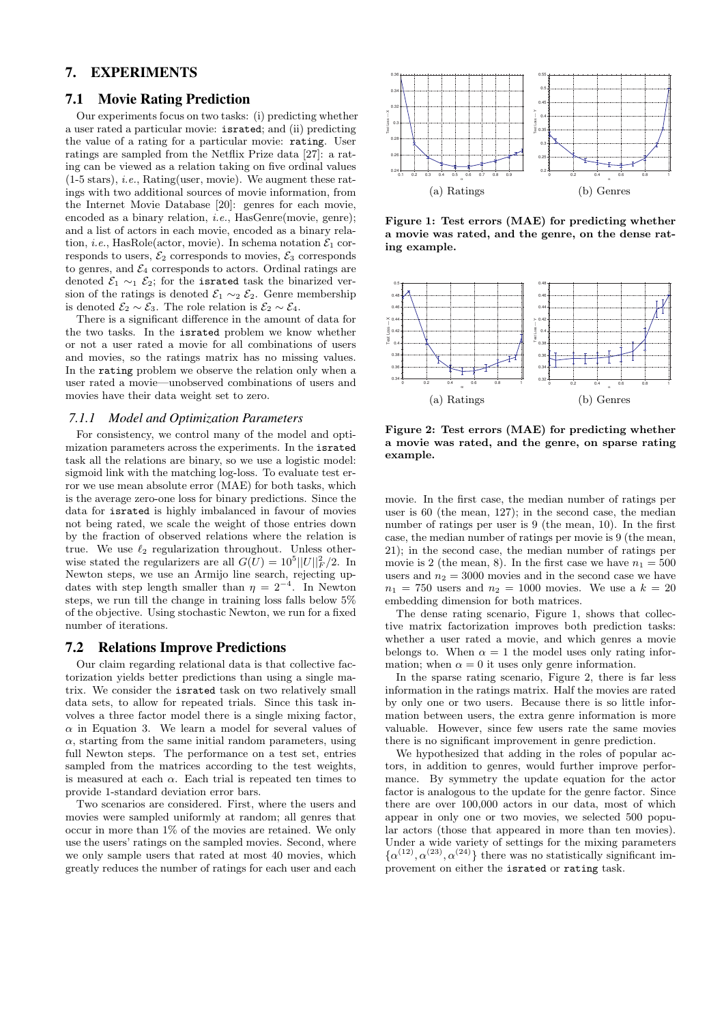# 7. EXPERIMENTS

## 7.1 Movie Rating Prediction

Our experiments focus on two tasks: (i) predicting whether a user rated a particular movie: israted; and (ii) predicting the value of a rating for a particular movie: rating. User ratings are sampled from the Netflix Prize data [27]: a rating can be viewed as a relation taking on five ordinal values (1-5 stars), i.e., Rating(user, movie). We augment these ratings with two additional sources of movie information, from the Internet Movie Database [20]: genres for each movie, encoded as a binary relation, i.e., HasGenre(movie, genre); and a list of actors in each movie, encoded as a binary relation, *i.e.*, HasRole(actor, movie). In schema notation  $\mathcal{E}_1$  corresponds to users,  $\mathcal{E}_2$  corresponds to movies,  $\mathcal{E}_3$  corresponds to genres, and  $\mathcal{E}_4$  corresponds to actors. Ordinal ratings are denoted  $\mathcal{E}_1 \sim_1 \mathcal{E}_2$ ; for the israted task the binarized version of the ratings is denoted  $\mathcal{E}_1 \sim_2 \mathcal{E}_2$ . Genre membership is denoted  $\mathcal{E}_2 \sim \mathcal{E}_3$ . The role relation is  $\mathcal{E}_2 \sim \mathcal{E}_4$ .

There is a significant difference in the amount of data for the two tasks. In the israted problem we know whether or not a user rated a movie for all combinations of users and movies, so the ratings matrix has no missing values. In the rating problem we observe the relation only when a user rated a movie—unobserved combinations of users and movies have their data weight set to zero.

#### *7.1.1 Model and Optimization Parameters*

For consistency, we control many of the model and optimization parameters across the experiments. In the israted task all the relations are binary, so we use a logistic model: sigmoid link with the matching log-loss. To evaluate test error we use mean absolute error (MAE) for both tasks, which is the average zero-one loss for binary predictions. Since the data for israted is highly imbalanced in favour of movies not being rated, we scale the weight of those entries down by the fraction of observed relations where the relation is true. We use  $\ell_2$  regularization throughout. Unless otherwise stated the regularizers are all  $G(U) = 10^5 ||U||_F^2/2$ . In Newton steps, we use an Armijo line search, rejecting updates with step length smaller than  $\eta = 2^{-4}$ . In Newton steps, we run till the change in training loss falls below 5% of the objective. Using stochastic Newton, we run for a fixed number of iterations.

#### 7.2 Relations Improve Predictions

Our claim regarding relational data is that collective factorization yields better predictions than using a single matrix. We consider the israted task on two relatively small data sets, to allow for repeated trials. Since this task involves a three factor model there is a single mixing factor,  $\alpha$  in Equation 3. We learn a model for several values of  $\alpha$ , starting from the same initial random parameters, using full Newton steps. The performance on a test set, entries sampled from the matrices according to the test weights, is measured at each  $\alpha$ . Each trial is repeated ten times to provide 1-standard deviation error bars.

Two scenarios are considered. First, where the users and movies were sampled uniformly at random; all genres that occur in more than 1% of the movies are retained. We only use the users' ratings on the sampled movies. Second, where we only sample users that rated at most 40 movies, which greatly reduces the number of ratings for each user and each



Figure 1: Test errors (MAE) for predicting whether a movie was rated, and the genre, on the dense rating example.



Figure 2: Test errors (MAE) for predicting whether a movie was rated, and the genre, on sparse rating example.

movie. In the first case, the median number of ratings per user is 60 (the mean, 127); in the second case, the median number of ratings per user is 9 (the mean, 10). In the first case, the median number of ratings per movie is 9 (the mean, 21); in the second case, the median number of ratings per movie is 2 (the mean, 8). In the first case we have  $n_1 = 500$ users and  $n_2 = 3000$  movies and in the second case we have  $n_1 = 750$  users and  $n_2 = 1000$  movies. We use a  $k = 20$ embedding dimension for both matrices.

The dense rating scenario, Figure 1, shows that collective matrix factorization improves both prediction tasks: whether a user rated a movie, and which genres a movie belongs to. When  $\alpha = 1$  the model uses only rating information; when  $\alpha = 0$  it uses only genre information.

In the sparse rating scenario, Figure 2, there is far less information in the ratings matrix. Half the movies are rated by only one or two users. Because there is so little information between users, the extra genre information is more valuable. However, since few users rate the same movies there is no significant improvement in genre prediction.

We hypothesized that adding in the roles of popular actors, in addition to genres, would further improve performance. By symmetry the update equation for the actor factor is analogous to the update for the genre factor. Since there are over 100,000 actors in our data, most of which appear in only one or two movies, we selected 500 popular actors (those that appeared in more than ten movies). Under a wide variety of settings for the mixing parameters  $\{\alpha^{(12)}, \alpha^{(23)}, \alpha^{(24)}\}\$  there was no statistically significant improvement on either the israted or rating task.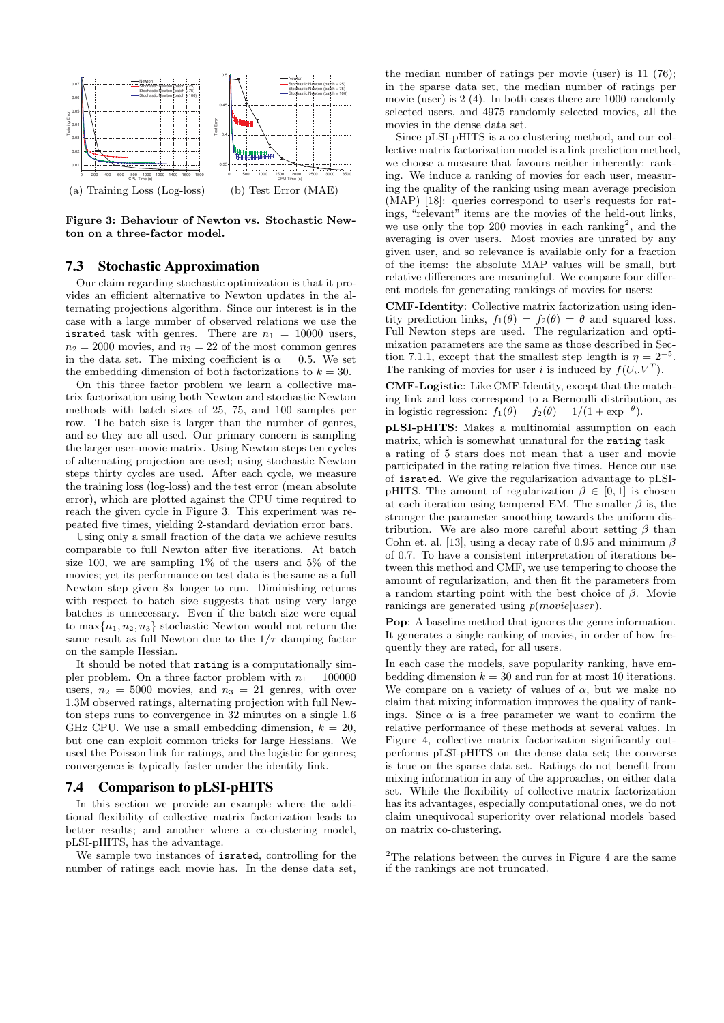

Figure 3: Behaviour of Newton vs. Stochastic Newton on a three-factor model.

# 7.3 Stochastic Approximation

Our claim regarding stochastic optimization is that it provides an efficient alternative to Newton updates in the alternating projections algorithm. Since our interest is in the case with a large number of observed relations we use the israted task with genres. There are  $n_1 = 10000$  users,  $n_2 = 2000$  movies, and  $n_3 = 22$  of the most common genres in the data set. The mixing coefficient is  $\alpha = 0.5$ . We set the embedding dimension of both factorizations to  $k = 30$ .

On this three factor problem we learn a collective matrix factorization using both Newton and stochastic Newton methods with batch sizes of 25, 75, and 100 samples per row. The batch size is larger than the number of genres, and so they are all used. Our primary concern is sampling the larger user-movie matrix. Using Newton steps ten cycles of alternating projection are used; using stochastic Newton steps thirty cycles are used. After each cycle, we measure the training loss (log-loss) and the test error (mean absolute error), which are plotted against the CPU time required to reach the given cycle in Figure 3. This experiment was repeated five times, yielding 2-standard deviation error bars.

Using only a small fraction of the data we achieve results comparable to full Newton after five iterations. At batch size 100, we are sampling  $1\%$  of the users and  $5\%$  of the movies; yet its performance on test data is the same as a full Newton step given 8x longer to run. Diminishing returns with respect to batch size suggests that using very large batches is unnecessary. Even if the batch size were equal to  $\max\{n_1, n_2, n_3\}$  stochastic Newton would not return the same result as full Newton due to the  $1/\tau$  damping factor on the sample Hessian.

It should be noted that rating is a computationally simpler problem. On a three factor problem with  $n_1 = 100000$ users,  $n_2 = 5000$  movies, and  $n_3 = 21$  genres, with over 1.3M observed ratings, alternating projection with full Newton steps runs to convergence in 32 minutes on a single 1.6 GHz CPU. We use a small embedding dimension,  $k = 20$ , but one can exploit common tricks for large Hessians. We used the Poisson link for ratings, and the logistic for genres; convergence is typically faster under the identity link.

## 7.4 Comparison to pLSI-pHITS

In this section we provide an example where the additional flexibility of collective matrix factorization leads to better results; and another where a co-clustering model, pLSI-pHITS, has the advantage.

We sample two instances of israted, controlling for the number of ratings each movie has. In the dense data set,

the median number of ratings per movie (user) is 11 (76); in the sparse data set, the median number of ratings per movie (user) is 2 (4). In both cases there are 1000 randomly selected users, and 4975 randomly selected movies, all the movies in the dense data set.

Since pLSI-pHITS is a co-clustering method, and our collective matrix factorization model is a link prediction method, we choose a measure that favours neither inherently: ranking. We induce a ranking of movies for each user, measuring the quality of the ranking using mean average precision (MAP) [18]: queries correspond to user's requests for ratings, "relevant" items are the movies of the held-out links, we use only the top  $200$  movies in each ranking<sup>2</sup>, and the averaging is over users. Most movies are unrated by any given user, and so relevance is available only for a fraction of the items: the absolute MAP values will be small, but relative differences are meaningful. We compare four different models for generating rankings of movies for users:

CMF-Identity: Collective matrix factorization using identity prediction links,  $f_1(\theta) = f_2(\theta) = \theta$  and squared loss. Full Newton steps are used. The regularization and optimization parameters are the same as those described in Section 7.1.1, except that the smallest step length is  $\eta = 2^{-5}$ . The ranking of movies for user i is induced by  $f(U_i, V^T)$ .

CMF-Logistic: Like CMF-Identity, except that the matching link and loss correspond to a Bernoulli distribution, as in logistic regression:  $f_1(\theta) = f_2(\theta) = 1/(1 + \exp^{-\theta}).$ 

pLSI-pHITS: Makes a multinomial assumption on each matrix, which is somewhat unnatural for the rating task a rating of 5 stars does not mean that a user and movie participated in the rating relation five times. Hence our use of israted. We give the regularization advantage to pLSIpHITS. The amount of regularization  $\beta \in [0, 1]$  is chosen at each iteration using tempered EM. The smaller  $\beta$  is, the stronger the parameter smoothing towards the uniform distribution. We are also more careful about setting  $\beta$  than Cohn et. al. [13], using a decay rate of 0.95 and minimum  $\beta$ of 0.7. To have a consistent interpretation of iterations between this method and CMF, we use tempering to choose the amount of regularization, and then fit the parameters from a random starting point with the best choice of  $\beta$ . Movie rankings are generated using  $p(movie|user)$ .

Pop: A baseline method that ignores the genre information. It generates a single ranking of movies, in order of how frequently they are rated, for all users.

In each case the models, save popularity ranking, have embedding dimension  $k = 30$  and run for at most 10 iterations. We compare on a variety of values of  $\alpha$ , but we make no claim that mixing information improves the quality of rankings. Since  $\alpha$  is a free parameter we want to confirm the relative performance of these methods at several values. In Figure 4, collective matrix factorization significantly outperforms pLSI-pHITS on the dense data set; the converse is true on the sparse data set. Ratings do not benefit from mixing information in any of the approaches, on either data set. While the flexibility of collective matrix factorization has its advantages, especially computational ones, we do not claim unequivocal superiority over relational models based on matrix co-clustering.

 $2$ The relations between the curves in Figure 4 are the same if the rankings are not truncated.